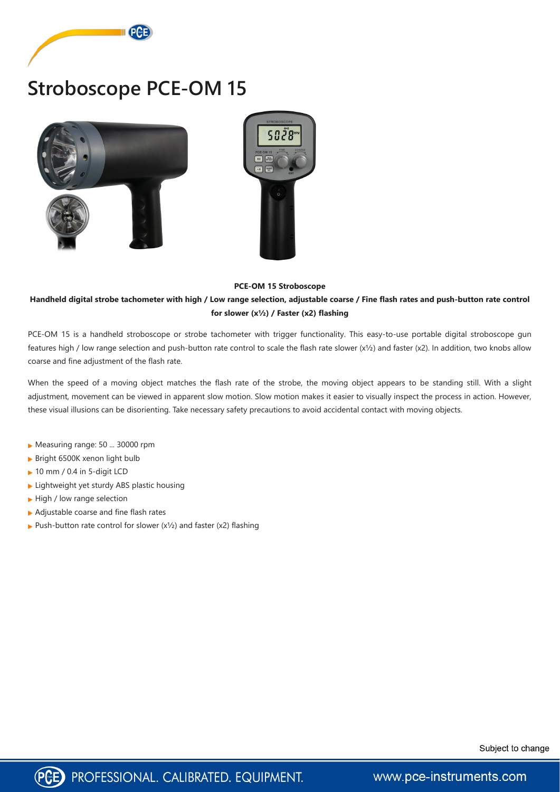

# **Stroboscope PCE-OM 15**





#### **PCE-OM 15 Stroboscope**

### **Handheld digital strobe tachometer with high / Low range selection, adjustable coarse / Fine flash rates and push-button rate control for slower (x½) / Faster (x2) flashing**

PCE-OM 15 is a handheld stroboscope or strobe tachometer with trigger functionality. This easy-to-use portable digital stroboscope gun features high / low range selection and push-button rate control to scale the flash rate slower (x½) and faster (x2). In addition, two knobs allow coarse and fine adjustment of the flash rate.

When the speed of a moving object matches the flash rate of the strobe, the moving object appears to be standing still. With a slight adjustment, movement can be viewed in apparent slow motion. Slow motion makes it easier to visually inspect the process in action. However, these visual illusions can be disorienting. Take necessary safety precautions to avoid accidental contact with moving objects.

- ▶ Measuring range: 50 ... 30000 rpm
- Bright 6500K xenon light bulb
- ▶ 10 mm / 0.4 in 5-digit LCD
- $\blacktriangleright$  Lightweight yet sturdy ABS plastic housing
- High / low range selection
- ▶ Adjustable coarse and fine flash rates
- Push-button rate control for slower  $(x^{1/2})$  and faster  $(x^{2})$  flashing





www.pce-instruments.com